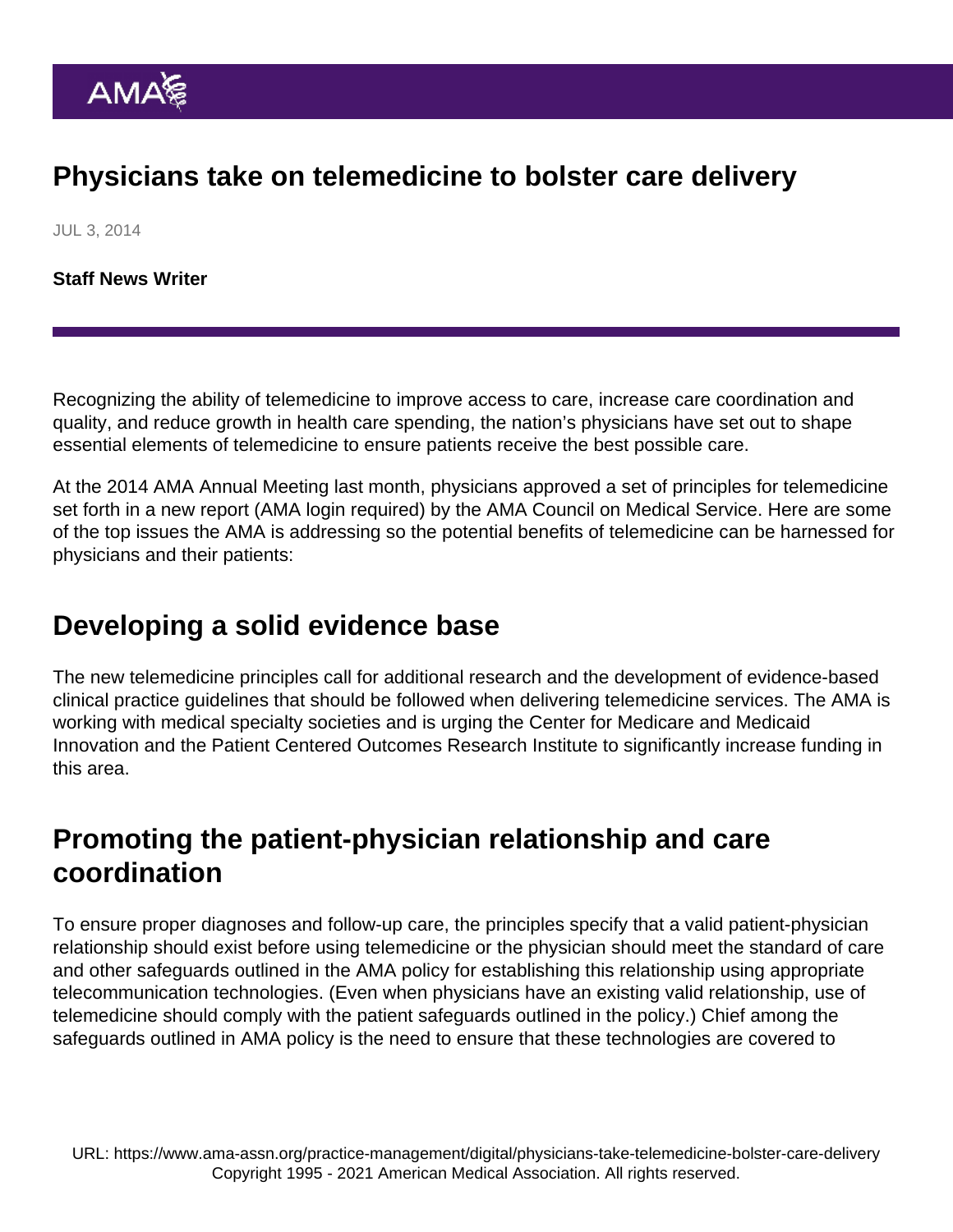# Physicians take on telemedicine to bolster care delivery

JUL 3, 2014

[Staff News Writer](https://www.ama-assn.org/news-leadership-viewpoints/authors-news-leadership-viewpoints/staff-news-writer)

Recognizing the ability of telemedicine to improve access to care, increase care coordination and quality, and reduce growth in health care spending, the nation's physicians have set out to shape essential elements of telemedicine to ensure patients receive the best possible care.

At the 2014 AMA Annual Meeting last month, physicians approved a set of principles for telemedicine set forth in a [new report](https://download.ama-assn.org/resources/doc/cms/x-pub/a14-cms-report7.pdf) (AMA login required) by the AMA Council on Medical Service. Here are some of the top issues the AMA is addressing so the potential benefits of telemedicine can be harnessed for physicians and their patients:

### Developing a solid evidence base

The new telemedicine principles call for additional research and the development of evidence-based clinical practice guidelines that should be followed when delivering telemedicine services. The AMA is working with medical specialty societies and is urging the Center for Medicare and Medicaid Innovation and the Patient Centered Outcomes Research Institute to significantly increase funding in this area.

# Promoting the patient-physician relationship and care coordination

To ensure proper diagnoses and follow-up care, the principles specify that a valid patient-physician relationship should exist before using telemedicine or the physician should meet the standard of care and other safeguards outlined in the AMA policy for establishing this relationship using appropriate telecommunication technologies. (Even when physicians have an existing valid relationship, use of telemedicine should comply with the patient safeguards outlined in the policy.) Chief among the safeguards outlined in AMA policy is the need to ensure that these technologies are covered to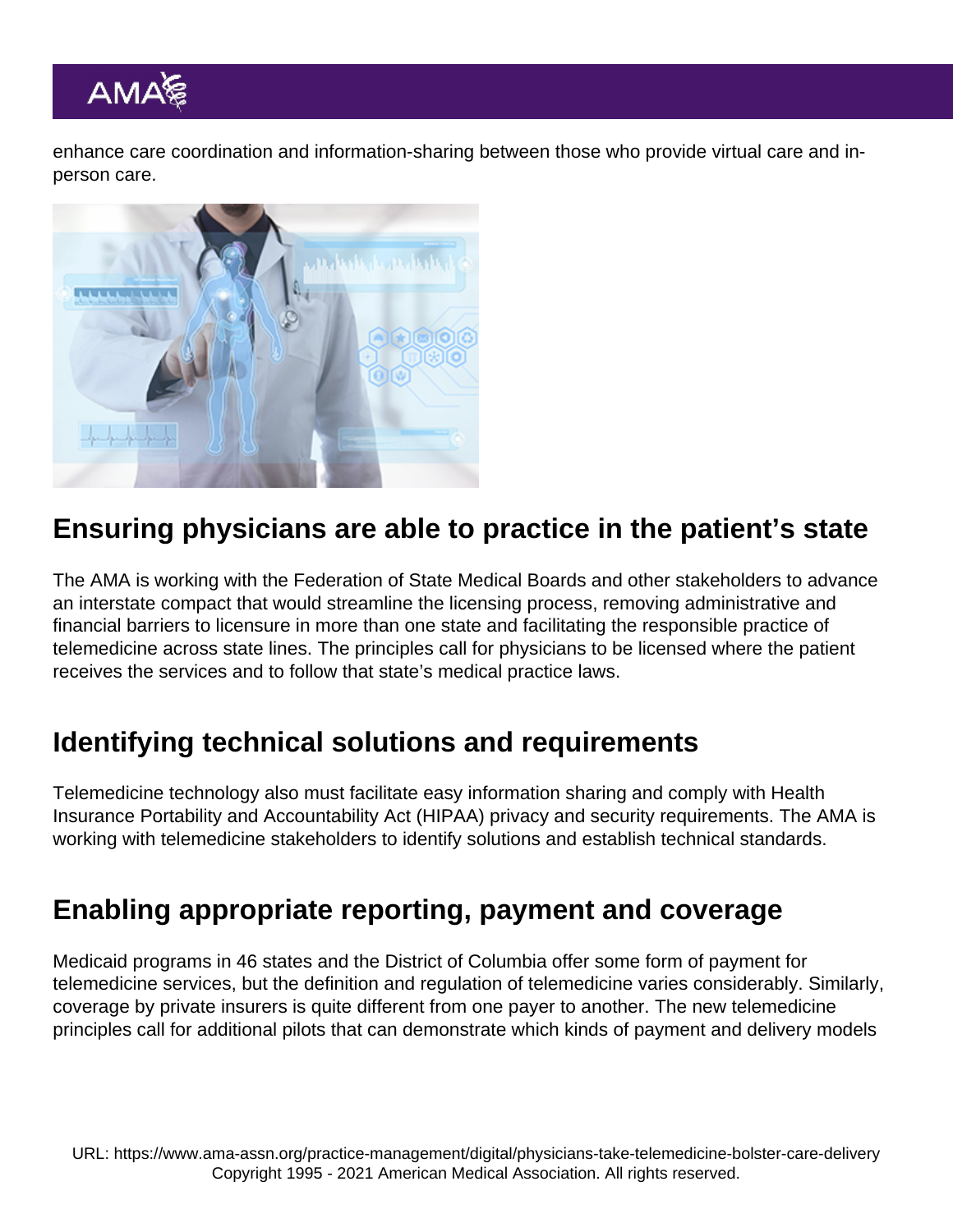enhance care coordination and information-sharing between those who provide virtual care and inperson care.

## Ensuring physicians are able to practice in the patient's state

The AMA is working with the Federation of State Medical Boards and other stakeholders to advance an interstate compact that would streamline the licensing process, removing administrative and financial barriers to licensure in more than one state and facilitating the responsible practice of telemedicine across state lines. The principles call for physicians to be licensed where the patient receives the services and to follow that state's medical practice laws.

## Identifying technical solutions and requirements

Telemedicine technology also must facilitate easy information sharing and comply with Health Insurance Portability and Accountability Act (HIPAA) privacy and security requirements. The AMA is working with telemedicine stakeholders to identify solutions and establish technical standards.

#### Enabling appropriate reporting, payment and coverage

Medicaid programs in 46 states and the District of Columbia offer some form of payment for telemedicine services, but the definition and regulation of telemedicine varies considerably. Similarly, coverage by private insurers is quite different from one payer to another. The new telemedicine principles call for additional pilots that can demonstrate which kinds of payment and delivery models